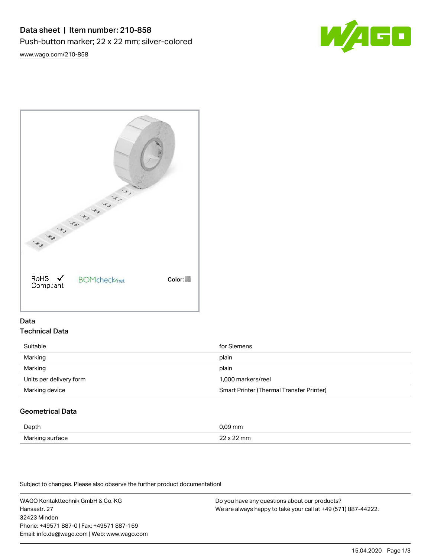



## Data Technical Data

| Suitable                | for Siemens                                     |
|-------------------------|-------------------------------------------------|
| Marking                 | plain                                           |
| Marking                 | plain                                           |
| Units per delivery form | 1.000 markers/reel                              |
| Marking device          | <b>Smart Printer (Thermal Transfer Printer)</b> |

# Geometrical Data

| Depth         |  |
|---------------|--|
| Markir<br>are |  |

Subject to changes. Please also observe the further product documentation!

WAGO Kontakttechnik GmbH & Co. KG Hansastr. 27 32423 Minden Phone: +49571 887-0 | Fax: +49571 887-169 Email: info.de@wago.com | Web: www.wago.com

Do you have any questions about our products? We are always happy to take your call at +49 (571) 887-44222.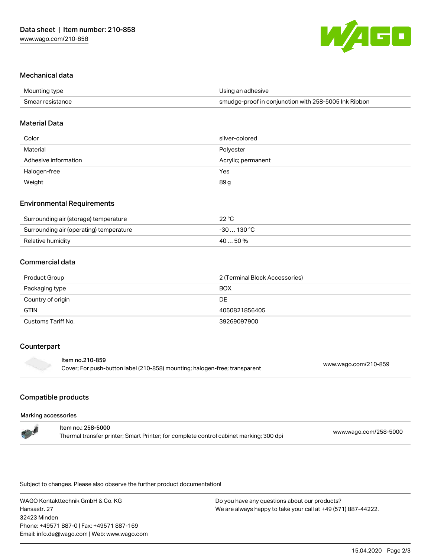

### Mechanical data

| Mounting type    | Using an adhesive                                    |
|------------------|------------------------------------------------------|
| Smear resistance | smudge-proof in conjunction with 258-5005 Ink Ribbon |

#### Material Data

| Color                | silver-colored     |
|----------------------|--------------------|
| Material             | Polyester          |
| Adhesive information | Acrylic; permanent |
| Halogen-free         | Yes                |
| Weight               | 89 g               |

### Environmental Requirements

| Surrounding air (storage) temperature   | $22^{\circ}$ C |
|-----------------------------------------|----------------|
| Surrounding air (operating) temperature | -30  130 °C    |
| Relative humidity                       | $4050\%$       |

### Commercial data

| Product Group      | 2 (Terminal Block Accessories) |  |
|--------------------|--------------------------------|--|
| Packaging type     | <b>BOX</b>                     |  |
| Country of origin  | <b>DE</b>                      |  |
| <b>GTIN</b>        | 4050821856405                  |  |
| Customs Tariff No. | 39269097900                    |  |

## Counterpart

#### Item no.210-859

Cover; For push-button label (210-858) mounting; halogen-free; transparent [www.wago.com/210-859](http://www.wago.com/210-859)

### Compatible products

#### Marking accessories

| <b>The State</b> | ltem no.: 258-5000                                                                     | www.wago.com/258-5000 |
|------------------|----------------------------------------------------------------------------------------|-----------------------|
|                  | Thermal transfer printer; Smart Printer; for complete control cabinet marking; 300 dpi |                       |

Subject to changes. Please also observe the further product documentation!

WAGO Kontakttechnik GmbH & Co. KG Hansastr. 27 32423 Minden Phone: +49571 887-0 | Fax: +49571 887-169 Email: info.de@wago.com | Web: www.wago.com

Do you have any questions about our products? We are always happy to take your call at +49 (571) 887-44222.